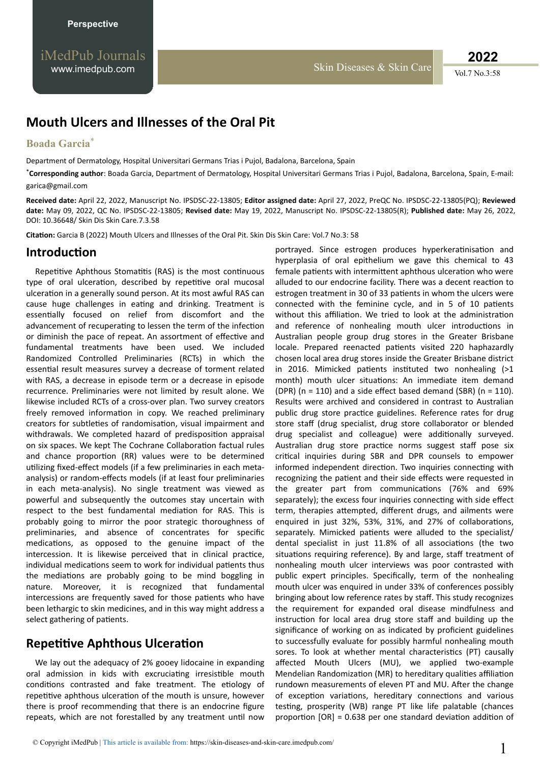**2022**

# **Mouth Ulcers and Illnesses of the Oral Pit**

#### **Boada Garcia**\*

Department of Dermatology, Hospital Universitari Germans Trias i Pujol, Badalona, Barcelona, Spain

\***Corresponding author**: Boada Garcia, Department of Dermatology, Hospital Universitari Germans Trias i Pujol, Badalona, Barcelona, Spain, E-mail: garica@gmail.com

**Received date:** April 22, 2022, Manuscript No. IPSDSC-22-13805; **Editor assigned date:** April 27, 2022, PreQC No. IPSDSC-22-13805(PQ); **Reviewed date:** May 09, 2022, QC No. IPSDSC-22-13805; **Revised date:** May 19, 2022, Manuscript No. IPSDSC-22-13805(R); **Published date:** May 26, 2022, DOI: 10.36648/ Skin Dis Skin Care.7.3.58

Citation: Garcia B (2022) Mouth Ulcers and Illnesses of the Oral Pit. Skin Dis Skin Care: Vol.7 No.3: 58

### **Introduction**

Repetitive Aphthous Stomatitis (RAS) is the most continuous type of oral ulceration, described by repetitive oral mucosal ulceration in a generally sound person. At its most awful RAS can cause huge challenges in eating and drinking. Treatment is essentially focused on relief from discomfort and the advancement of recuperating to lessen the term of the infection or diminish the pace of repeat. An assortment of effective and fundamental treatments have been used. We included Randomized Controlled Preliminaries (RCTs) in which the essential result measures survey a decrease of torment related with RAS, a decrease in episode term or a decrease in episode recurrence. Preliminaries were not limited by result alone. We likewise included RCTs of a cross-over plan. Two survey creators freely removed information in copy. We reached preliminary creators for subtleties of randomisation, visual impairment and withdrawals. We completed hazard of predisposition appraisal on six spaces. We kept The Cochrane Collaboration factual rules and chance proportion (RR) values were to be determined utilizing fixed-effect models (if a few preliminaries in each metaanalysis) or random-effects models (if at least four preliminaries in each meta-analysis). No single treatment was viewed as powerful and subsequently the outcomes stay uncertain with respect to the best fundamental mediation for RAS. This is probably going to mirror the poor strategic thoroughness of preliminaries, and absence of concentrates for specific medications, as opposed to the genuine impact of the intercession. It is likewise perceived that in clinical practice, individual medications seem to work for individual patients thus the mediations are probably going to be mind boggling in nature. Moreover, it is recognized that fundamental intercessions are frequently saved for those patients who have been lethargic to skin medicines, and in this way might address a select gathering of patients.

### **Repetitive Aphthous Ulceration**

We lay out the adequacy of 2% gooey lidocaine in expanding oral admission in kids with excruciating irresistible mouth conditions contrasted and fake treatment. The etiology of repetitive aphthous ulceration of the mouth is unsure, however there is proof recommending that there is an endocrine figure repeats, which are not forestalled by any treatment until now portrayed. Since estrogen produces hyperkeratinisation and hyperplasia of oral epithelium we gave this chemical to 43 female patients with intermittent aphthous ulceration who were alluded to our endocrine facility. There was a decent reaction to estrogen treatment in 30 of 33 patients in whom the ulcers were connected with the feminine cycle, and in 5 of 10 patients without this affiliation. We tried to look at the administration and reference of nonhealing mouth ulcer introductions in Australian people group drug stores in the Greater Brisbane locale. Prepared reenacted patients visited 220 haphazardly chosen local area drug stores inside the Greater Brisbane district in 2016. Mimicked patients instituted two nonhealing (>1 month) mouth ulcer situations: An immediate item demand (DPR) ( $n = 110$ ) and a side effect based demand (SBR) ( $n = 110$ ). Results were archived and considered in contrast to Australian public drug store practice guidelines. Reference rates for drug store staff (drug specialist, drug store collaborator or blended drug specialist and colleague) were additionally surveyed. Australian drug store practice norms suggest staff pose six critical inquiries during SBR and DPR counsels to empower informed independent direction. Two inquiries connecting with recognizing the patient and their side effects were requested in the greater part from communications (76% and 69% separately); the excess four inquiries connecting with side effect term, therapies attempted, different drugs, and ailments were enquired in just 32%, 53%, 31%, and 27% of collaborations, separately. Mimicked patients were alluded to the specialist/ dental specialist in just 11.8% of all associations (the two situations requiring reference). By and large, staff treatment of nonhealing mouth ulcer interviews was poor contrasted with public expert principles. Specifically, term of the nonhealing mouth ulcer was enquired in under 33% of conferences possibly bringing about low reference rates by staff. This study recognizes the requirement for expanded oral disease mindfulness and instruction for local area drug store staff and building up the significance of working on as indicated by proficient guidelines to successfully evaluate for possibly harmful nonhealing mouth sores. To look at whether mental characteristics (PT) causally affected Mouth Ulcers (MU), we applied two-example Mendelian Randomization (MR) to hereditary qualities affiliation rundown measurements of eleven PT and MU. After the change of exception variations, hereditary connections and various testing, prosperity (WB) range PT like life palatable (chances proportion  $[OR] = 0.638$  per one standard deviation addition of